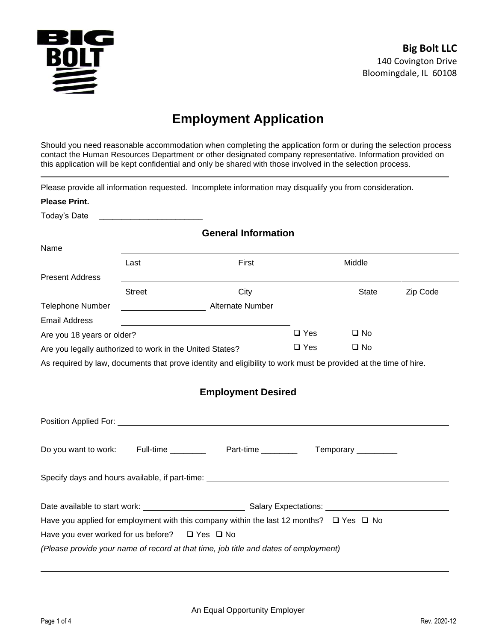

# **Employment Application**

Should you need reasonable accommodation when completing the application form or during the selection process contact the Human Resources Department or other designated company representative. Information provided on this application will be kept confidential and only be shared with those involved in the selection process.

Please provide all information requested. Incomplete information may disqualify you from consideration.

| <b>Please Print.</b>                                     |               |                                                                                                                       |               |                     |          |
|----------------------------------------------------------|---------------|-----------------------------------------------------------------------------------------------------------------------|---------------|---------------------|----------|
| Today's Date                                             |               |                                                                                                                       |               |                     |          |
|                                                          |               | <b>General Information</b>                                                                                            |               |                     |          |
| Name                                                     |               |                                                                                                                       |               |                     |          |
|                                                          | Last          | First                                                                                                                 |               | Middle              |          |
| <b>Present Address</b>                                   |               |                                                                                                                       |               |                     |          |
|                                                          | <b>Street</b> | City                                                                                                                  |               | <b>State</b>        | Zip Code |
| <b>Telephone Number</b>                                  |               | Alternate Number                                                                                                      |               |                     |          |
| <b>Email Address</b>                                     |               |                                                                                                                       |               |                     |          |
| Are you 18 years or older?                               |               |                                                                                                                       | $\square$ Yes | $\square$ No        |          |
| Are you legally authorized to work in the United States? |               | $\Box$ Yes                                                                                                            | $\square$ No  |                     |          |
|                                                          |               | As required by law, documents that prove identity and eligibility to work must be provided at the time of hire.       |               |                     |          |
|                                                          |               |                                                                                                                       |               |                     |          |
|                                                          |               | <b>Employment Desired</b>                                                                                             |               |                     |          |
|                                                          |               |                                                                                                                       |               |                     |          |
|                                                          |               | Position Applied For: <u>contract the contract of the contract of the contract of the contract of the contract of</u> |               |                     |          |
|                                                          |               |                                                                                                                       |               |                     |          |
|                                                          |               | Do you want to work: Full-time _________ Part-time _______                                                            |               | Temporary _________ |          |
|                                                          |               |                                                                                                                       |               |                     |          |
|                                                          |               | Specify days and hours available, if part-time: ________________________________                                      |               |                     |          |
|                                                          |               |                                                                                                                       |               |                     |          |
|                                                          |               |                                                                                                                       |               |                     |          |
|                                                          |               | Have you applied for employment with this company within the last 12 months? $\Box$ Yes $\Box$ No                     |               |                     |          |
| Have you ever worked for us before?                      |               | $\Box$ Yes $\Box$ No                                                                                                  |               |                     |          |
|                                                          |               | (Please provide your name of record at that time, job title and dates of employment)                                  |               |                     |          |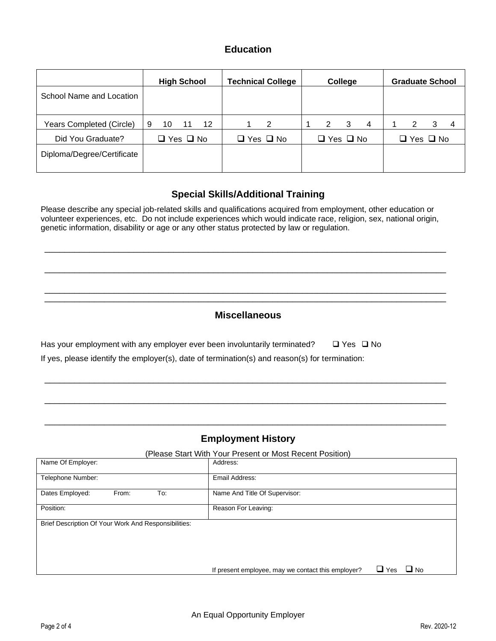### **Education**

|                            |   | <b>High School</b>   |    |         | <b>Technical College</b> |                      | <b>College</b> |   | <b>Graduate School</b> |   |   |
|----------------------------|---|----------------------|----|---------|--------------------------|----------------------|----------------|---|------------------------|---|---|
| School Name and Location   |   |                      |    |         |                          |                      |                |   |                        |   |   |
| Years Completed (Circle)   | 9 | 10                   | 11 | $12 \,$ | 2                        | 2                    | 3              | 4 |                        | З | 4 |
| Did You Graduate?          |   | $\Box$ Yes $\Box$ No |    |         | $\Box$ Yes $\Box$ No     | $\Box$ Yes $\Box$ No |                |   | $\Box$ Yes $\Box$ No   |   |   |
| Diploma/Degree/Certificate |   |                      |    |         |                          |                      |                |   |                        |   |   |

### **Special Skills/Additional Training**

Please describe any special job-related skills and qualifications acquired from employment, other education or volunteer experiences, etc. Do not include experiences which would indicate race, religion, sex, national origin, genetic information, disability or age or any other status protected by law or regulation.

\_\_\_\_\_\_\_\_\_\_\_\_\_\_\_\_\_\_\_\_\_\_\_\_\_\_\_\_\_\_\_\_\_\_\_\_\_\_\_\_\_\_\_\_\_\_\_\_\_\_\_\_\_\_\_\_\_\_\_\_\_\_\_\_\_\_\_\_\_\_\_\_\_\_\_\_\_\_\_\_\_

\_\_\_\_\_\_\_\_\_\_\_\_\_\_\_\_\_\_\_\_\_\_\_\_\_\_\_\_\_\_\_\_\_\_\_\_\_\_\_\_\_\_\_\_\_\_\_\_\_\_\_\_\_\_\_\_\_\_\_\_\_\_\_\_\_\_\_\_\_\_\_\_\_\_\_\_\_\_\_\_\_

\_\_\_\_\_\_\_\_\_\_\_\_\_\_\_\_\_\_\_\_\_\_\_\_\_\_\_\_\_\_\_\_\_\_\_\_\_\_\_\_\_\_\_\_\_\_\_\_\_\_\_\_\_\_\_\_\_\_\_\_\_\_\_\_\_\_\_\_\_\_\_\_\_\_\_\_\_\_\_\_\_ \_\_\_\_\_\_\_\_\_\_\_\_\_\_\_\_\_\_\_\_\_\_\_\_\_\_\_\_\_\_\_\_\_\_\_\_\_\_\_\_\_\_\_\_\_\_\_\_\_\_\_\_\_\_\_\_\_\_\_\_\_\_\_\_\_\_\_\_\_\_\_\_\_\_\_\_\_\_\_\_\_

# **Miscellaneous**

\_\_\_\_\_\_\_\_\_\_\_\_\_\_\_\_\_\_\_\_\_\_\_\_\_\_\_\_\_\_\_\_\_\_\_\_\_\_\_\_\_\_\_\_\_\_\_\_\_\_\_\_\_\_\_\_\_\_\_\_\_\_\_\_\_\_\_\_\_\_\_\_\_\_\_\_\_\_\_\_\_

\_\_\_\_\_\_\_\_\_\_\_\_\_\_\_\_\_\_\_\_\_\_\_\_\_\_\_\_\_\_\_\_\_\_\_\_\_\_\_\_\_\_\_\_\_\_\_\_\_\_\_\_\_\_\_\_\_\_\_\_\_\_\_\_\_\_\_\_\_\_\_\_\_\_\_\_\_\_\_\_\_

\_\_\_\_\_\_\_\_\_\_\_\_\_\_\_\_\_\_\_\_\_\_\_\_\_\_\_\_\_\_\_\_\_\_\_\_\_\_\_\_\_\_\_\_\_\_\_\_\_\_\_\_\_\_\_\_\_\_\_\_\_\_\_\_\_\_\_\_\_\_\_\_\_\_\_\_\_\_\_\_\_

| Has your employment with any employer ever been involuntarily terminated?                      | □ Yes □ No |
|------------------------------------------------------------------------------------------------|------------|
| If yes, please identify the employer(s), date of termination(s) and reason(s) for termination: |            |

# **Employment History**

### (Please Start With Your Present or Most Recent Position)

| Name Of Employer:                                    | Address:                                                                              |
|------------------------------------------------------|---------------------------------------------------------------------------------------|
| Telephone Number:                                    | Email Address:                                                                        |
| From:<br>Dates Employed:<br>To:                      | Name And Title Of Supervisor:                                                         |
| Position:                                            | Reason For Leaving:                                                                   |
| Brief Description Of Your Work And Responsibilities: |                                                                                       |
|                                                      | $\Box$ Yes<br>$\blacksquare$ No<br>If present employee, may we contact this employer? |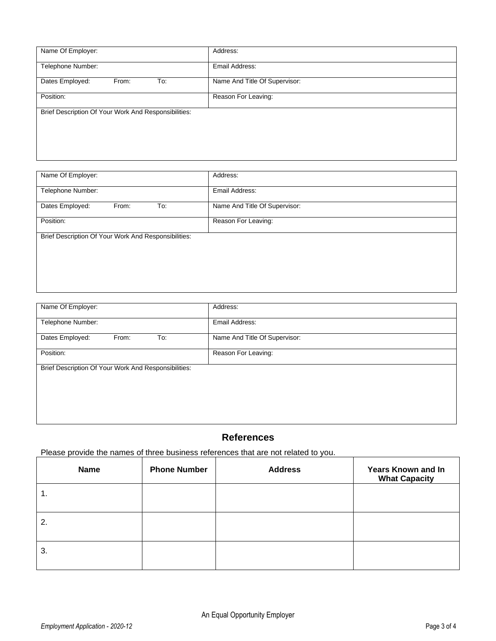| Name Of Employer:                                    | Address:                      |
|------------------------------------------------------|-------------------------------|
| Telephone Number:                                    | Email Address:                |
| Dates Employed:<br>From:<br>To:                      | Name And Title Of Supervisor: |
| Position:                                            | Reason For Leaving:           |
| Brief Description Of Your Work And Responsibilities: |                               |
|                                                      |                               |
|                                                      |                               |
|                                                      |                               |

| Name Of Employer:                                    | Address:                      |
|------------------------------------------------------|-------------------------------|
| Telephone Number:                                    | Email Address:                |
| Dates Employed:<br>From:<br>To:                      | Name And Title Of Supervisor: |
| Position:                                            | Reason For Leaving:           |
| Brief Description Of Your Work And Responsibilities: |                               |
|                                                      |                               |
|                                                      |                               |
|                                                      |                               |

| Name Of Employer:                                    | Address:                      |
|------------------------------------------------------|-------------------------------|
| Telephone Number:                                    | Email Address:                |
| Dates Employed:<br>From:<br>To:                      | Name And Title Of Supervisor: |
| Position:                                            | Reason For Leaving:           |
| Brief Description Of Your Work And Responsibilities: |                               |
|                                                      |                               |
|                                                      |                               |
|                                                      |                               |

# **References**

# Please provide the names of three business references that are not related to you.

| <b>Name</b> | <b>Phone Number</b> | <b>Address</b> | <b>Years Known and In</b><br><b>What Capacity</b> |
|-------------|---------------------|----------------|---------------------------------------------------|
| 1.          |                     |                |                                                   |
| 2.          |                     |                |                                                   |
| 3.          |                     |                |                                                   |